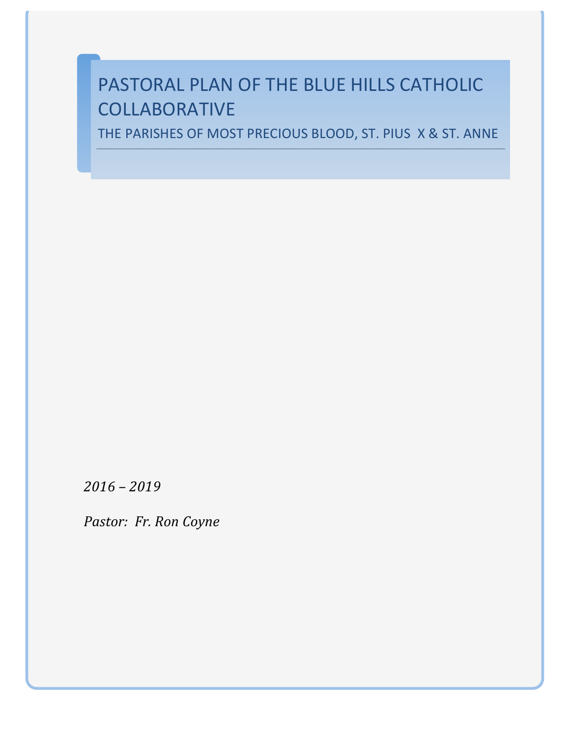# PASTORAL PLAN OF THE BLUE HILLS CATHOLIC COLLABORATIVE

THE PARISHES OF MOST PRECIOUS BLOOD, ST. PIUS X & ST. ANNE

*2016 – 2019*

*Pastor: Fr. Ron Coyne*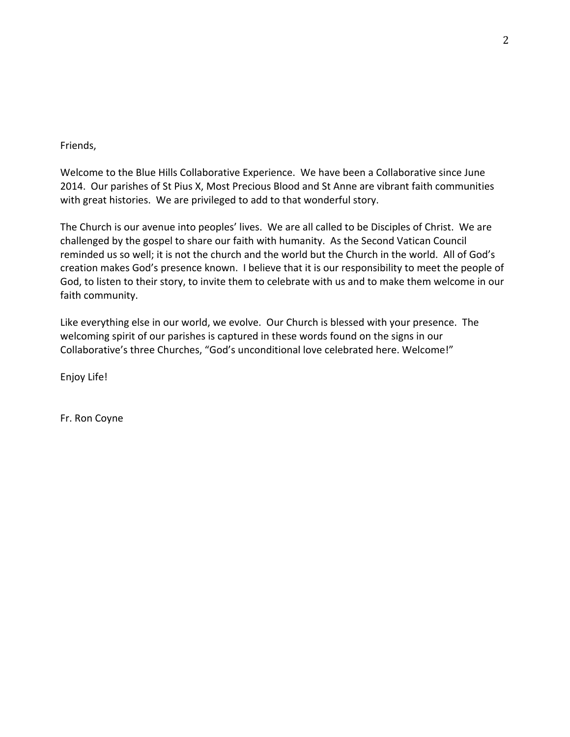#### Friends,

Welcome to the Blue Hills Collaborative Experience. We have been a Collaborative since June 2014. Our parishes of St Pius X, Most Precious Blood and St Anne are vibrant faith communities with great histories. We are privileged to add to that wonderful story.

The Church is our avenue into peoples' lives. We are all called to be Disciples of Christ. We are challenged by the gospel to share our faith with humanity. As the Second Vatican Council reminded us so well; it is not the church and the world but the Church in the world. All of God's creation makes God's presence known. I believe that it is our responsibility to meet the people of God, to listen to their story, to invite them to celebrate with us and to make them welcome in our faith community.

Like everything else in our world, we evolve. Our Church is blessed with your presence. The welcoming spirit of our parishes is captured in these words found on the signs in our Collaborative's three Churches, "God's unconditional love celebrated here. Welcome!"

Enjoy Life!

Fr. Ron Coyne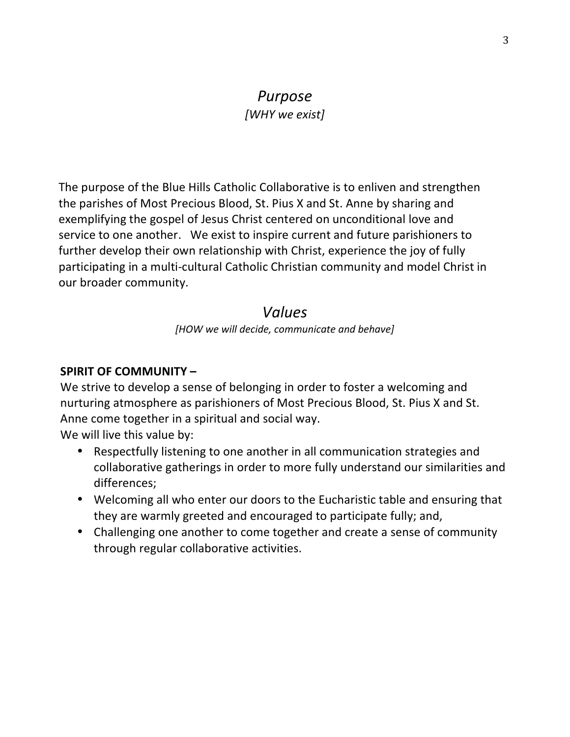# *Purpose [WHY we exist]*

The purpose of the Blue Hills Catholic Collaborative is to enliven and strengthen the parishes of Most Precious Blood, St. Pius X and St. Anne by sharing and exemplifying the gospel of Jesus Christ centered on unconditional love and service to one another. We exist to inspire current and future parishioners to further develop their own relationship with Christ, experience the joy of fully participating in a multi-cultural Catholic Christian community and model Christ in our broader community.

# *Values*

*[HOW we will decide, communicate and behave]*

## **SPIRIT OF COMMUNITY -**

We strive to develop a sense of belonging in order to foster a welcoming and nurturing atmosphere as parishioners of Most Precious Blood, St. Pius X and St. Anne come together in a spiritual and social way.

We will live this value by:

- Respectfully listening to one another in all communication strategies and collaborative gatherings in order to more fully understand our similarities and differences;
- Welcoming all who enter our doors to the Eucharistic table and ensuring that they are warmly greeted and encouraged to participate fully; and,
- Challenging one another to come together and create a sense of community through regular collaborative activities.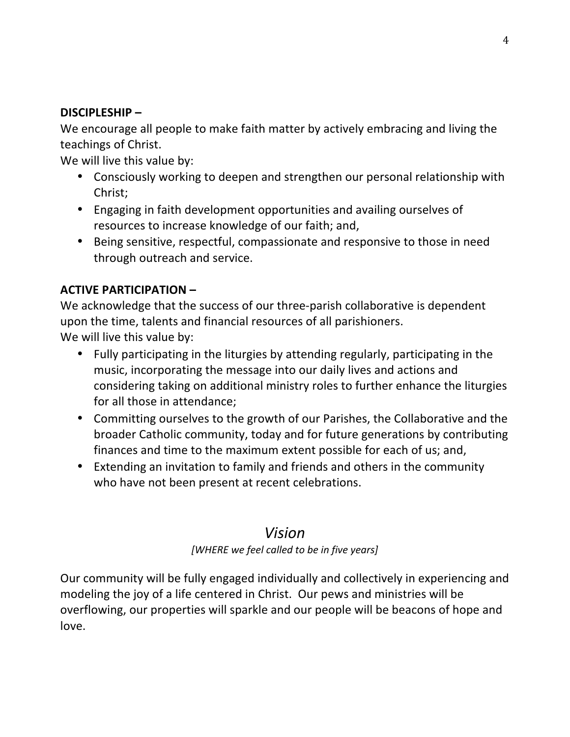# **DISCIPLESHIP –**

We encourage all people to make faith matter by actively embracing and living the teachings of Christ.

We will live this value by:

- Consciously working to deepen and strengthen our personal relationship with Christ;
- Engaging in faith development opportunities and availing ourselves of resources to increase knowledge of our faith; and,
- Being sensitive, respectful, compassionate and responsive to those in need through outreach and service.

# **ACTIVE PARTICIPATION –**

We acknowledge that the success of our three-parish collaborative is dependent upon the time, talents and financial resources of all parishioners. We will live this value by:

- Fully participating in the liturgies by attending regularly, participating in the music, incorporating the message into our daily lives and actions and
	- considering taking on additional ministry roles to further enhance the liturgies for all those in attendance;
	- Committing ourselves to the growth of our Parishes, the Collaborative and the broader Catholic community, today and for future generations by contributing finances and time to the maximum extent possible for each of us; and,
	- Extending an invitation to family and friends and others in the community who have not been present at recent celebrations.

# *Vision*

# [WHERE we feel called to be in five years]

Our community will be fully engaged individually and collectively in experiencing and modeling the joy of a life centered in Christ. Our pews and ministries will be overflowing, our properties will sparkle and our people will be beacons of hope and love.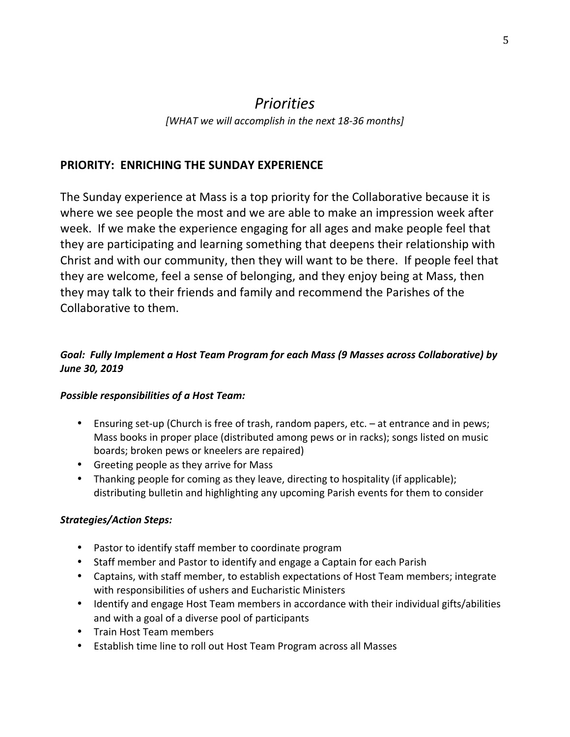# *Priorities*

[WHAT we will accomplish in the next 18-36 months]

## **PRIORITY: ENRICHING THE SUNDAY EXPERIENCE**

The Sunday experience at Mass is a top priority for the Collaborative because it is where we see people the most and we are able to make an impression week after week. If we make the experience engaging for all ages and make people feel that they are participating and learning something that deepens their relationship with Christ and with our community, then they will want to be there. If people feel that they are welcome, feel a sense of belonging, and they enjoy being at Mass, then they may talk to their friends and family and recommend the Parishes of the Collaborative to them.

## Goal: Fully Implement a Host Team Program for each Mass (9 Masses across Collaborative) by *June 30, 2019*

#### **Possible responsibilities of a Host Team:**

- Ensuring set-up (Church is free of trash, random papers, etc. at entrance and in pews; Mass books in proper place (distributed among pews or in racks); songs listed on music boards; broken pews or kneelers are repaired)
- Greeting people as they arrive for Mass
- Thanking people for coming as they leave, directing to hospitality (if applicable); distributing bulletin and highlighting any upcoming Parish events for them to consider

## *Strategies/Action Steps:*

- Pastor to identify staff member to coordinate program
- Staff member and Pastor to identify and engage a Captain for each Parish
- Captains, with staff member, to establish expectations of Host Team members; integrate with responsibilities of ushers and Eucharistic Ministers
- Identify and engage Host Team members in accordance with their individual gifts/abilities and with a goal of a diverse pool of participants
- Train Host Team members
- Establish time line to roll out Host Team Program across all Masses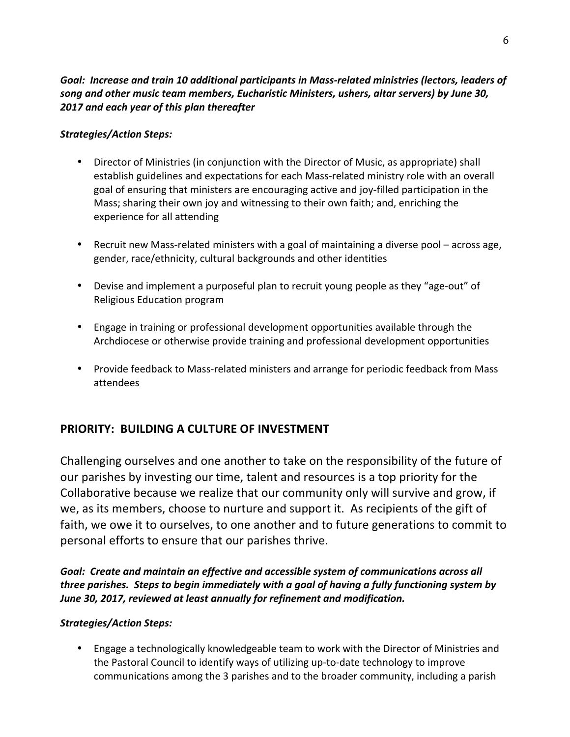#### Goal: Increase and train 10 additional participants in Mass-related ministries (lectors, leaders of song and other music team members, Eucharistic Ministers, ushers, altar servers) by June 30, *2017 and each year of this plan thereafter*

## *Strategies/Action Steps:*

- Director of Ministries (in conjunction with the Director of Music, as appropriate) shall establish guidelines and expectations for each Mass-related ministry role with an overall goal of ensuring that ministers are encouraging active and joy-filled participation in the Mass; sharing their own joy and witnessing to their own faith; and, enriching the experience for all attending
- Recruit new Mass-related ministers with a goal of maintaining a diverse pool across age, gender, race/ethnicity, cultural backgrounds and other identities
- Devise and implement a purposeful plan to recruit young people as they "age-out" of Religious Education program
- Engage in training or professional development opportunities available through the Archdiocese or otherwise provide training and professional development opportunities
- Provide feedback to Mass-related ministers and arrange for periodic feedback from Mass attendees

## **PRIORITY: BUILDING A CULTURE OF INVESTMENT**

Challenging ourselves and one another to take on the responsibility of the future of our parishes by investing our time, talent and resources is a top priority for the Collaborative because we realize that our community only will survive and grow, if we, as its members, choose to nurture and support it. As recipients of the gift of faith, we owe it to ourselves, to one another and to future generations to commit to personal efforts to ensure that our parishes thrive.

Goal: Create and maintain an effective and accessible system of communications across all *three parishes.* Steps to begin immediately with a goal of having a fully functioning system by June 30, 2017, reviewed at least annually for refinement and modification.

#### *Strategies/Action Steps:*

• Engage a technologically knowledgeable team to work with the Director of Ministries and the Pastoral Council to identify ways of utilizing up-to-date technology to improve communications among the 3 parishes and to the broader community, including a parish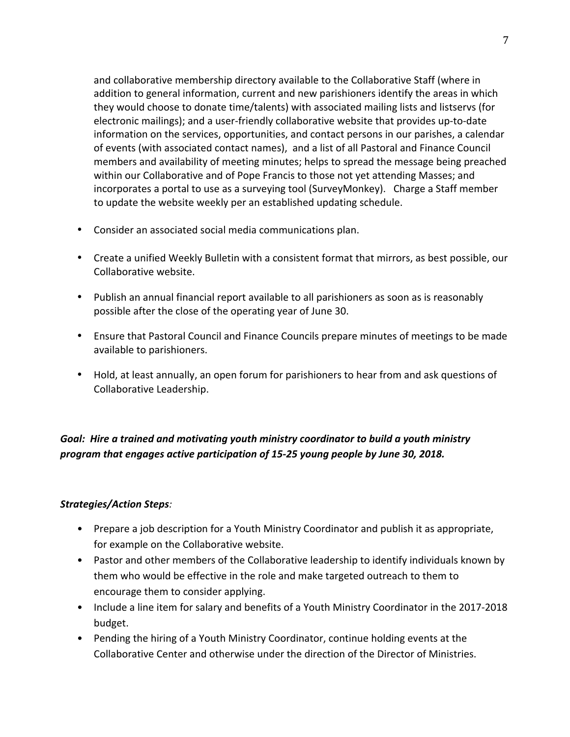and collaborative membership directory available to the Collaborative Staff (where in addition to general information, current and new parishioners identify the areas in which they would choose to donate time/talents) with associated mailing lists and listservs (for electronic mailings); and a user-friendly collaborative website that provides up-to-date information on the services, opportunities, and contact persons in our parishes, a calendar of events (with associated contact names), and a list of all Pastoral and Finance Council members and availability of meeting minutes; helps to spread the message being preached within our Collaborative and of Pope Francis to those not yet attending Masses; and incorporates a portal to use as a surveying tool (SurveyMonkey). Charge a Staff member to update the website weekly per an established updating schedule.

- Consider an associated social media communications plan.
- Create a unified Weekly Bulletin with a consistent format that mirrors, as best possible, our Collaborative website.
- Publish an annual financial report available to all parishioners as soon as is reasonably possible after the close of the operating year of June 30.
- Ensure that Pastoral Council and Finance Councils prepare minutes of meetings to be made available to parishioners.
- Hold, at least annually, an open forum for parishioners to hear from and ask questions of Collaborative Leadership.

# Goal: Hire a trained and motivating youth ministry coordinator to build a youth ministry *program that engages active participation of 15-25 young people by June 30, 2018.*

#### *Strategies/Action Steps:*

- Prepare a job description for a Youth Ministry Coordinator and publish it as appropriate, for example on the Collaborative website.
- Pastor and other members of the Collaborative leadership to identify individuals known by them who would be effective in the role and make targeted outreach to them to encourage them to consider applying.
- Include a line item for salary and benefits of a Youth Ministry Coordinator in the 2017-2018 budget.
- Pending the hiring of a Youth Ministry Coordinator, continue holding events at the Collaborative Center and otherwise under the direction of the Director of Ministries.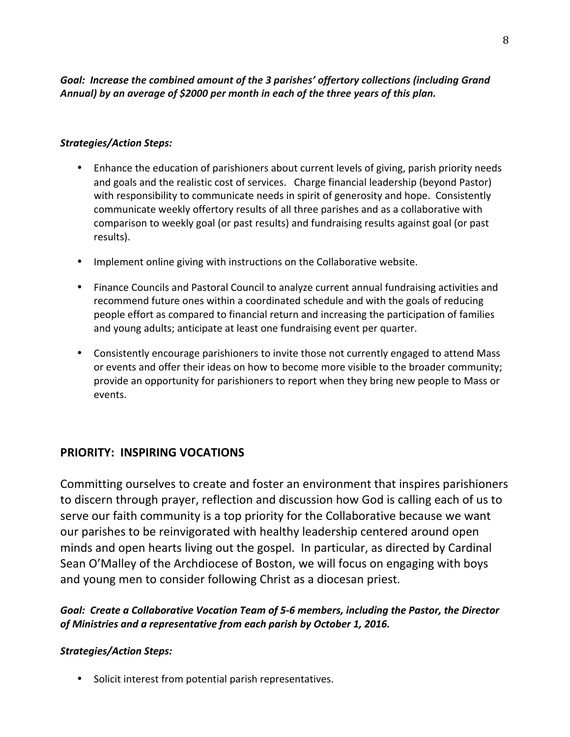#### Goal: Increase the combined amount of the 3 parishes' offertory collections (including Grand *Annual)* by an average of \$2000 per month in each of the three years of this plan.

#### *Strategies/Action Steps:*

- Enhance the education of parishioners about current levels of giving, parish priority needs and goals and the realistic cost of services. Charge financial leadership (beyond Pastor) with responsibility to communicate needs in spirit of generosity and hope. Consistently communicate weekly offertory results of all three parishes and as a collaborative with comparison to weekly goal (or past results) and fundraising results against goal (or past results).
- Implement online giving with instructions on the Collaborative website.
- Finance Councils and Pastoral Council to analyze current annual fundraising activities and recommend future ones within a coordinated schedule and with the goals of reducing people effort as compared to financial return and increasing the participation of families and young adults; anticipate at least one fundraising event per quarter.
- Consistently encourage parishioners to invite those not currently engaged to attend Mass or events and offer their ideas on how to become more visible to the broader community; provide an opportunity for parishioners to report when they bring new people to Mass or events.

## **PRIORITY: INSPIRING VOCATIONS**

Committing ourselves to create and foster an environment that inspires parishioners to discern through prayer, reflection and discussion how God is calling each of us to serve our faith community is a top priority for the Collaborative because we want our parishes to be reinvigorated with healthy leadership centered around open minds and open hearts living out the gospel. In particular, as directed by Cardinal Sean O'Malley of the Archdiocese of Boston, we will focus on engaging with boys and young men to consider following Christ as a diocesan priest.

Goal: Create a Collaborative Vocation Team of 5-6 members, including the Pastor, the Director of Ministries and a representative from each parish by October 1, 2016.

#### *Strategies/Action Steps:*

• Solicit interest from potential parish representatives.